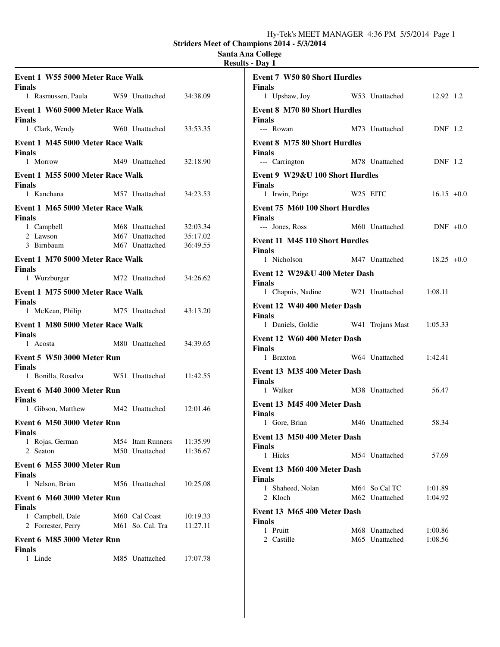# **Santa Ana College**

| <b>Results - Dav</b> |  |
|----------------------|--|
|----------------------|--|

|                                                   |                                                    |                      | . .                                                  |                                        |                |
|---------------------------------------------------|----------------------------------------------------|----------------------|------------------------------------------------------|----------------------------------------|----------------|
| Event 1 W55 5000 Meter Race Walk<br><b>Finals</b> |                                                    |                      | <b>Event 7 W50 80 Short Hurdles</b><br><b>Finals</b> |                                        |                |
| 1 Rasmussen, Paula W59 Unattached                 |                                                    | 34:38.09             |                                                      | 1 Upshaw, Joy W53 Unattached 12.92 1.2 |                |
| Event 1 W60 5000 Meter Race Walk<br><b>Finals</b> |                                                    |                      | <b>Event 8 M70 80 Short Hurdles</b><br><b>Finals</b> |                                        |                |
| 1 Clark, Wendy                                    | W60 Unattached                                     | 33:53.35             | --- Rowan                                            | M73 Unattached DNF 1.2                 |                |
| Event 1 M45 5000 Meter Race Walk<br><b>Finals</b> |                                                    |                      | <b>Event 8 M75 80 Short Hurdles</b><br><b>Finals</b> |                                        |                |
| 1 Morrow                                          | M49 Unattached                                     | 32:18.90             | --- Carrington M78 Unattached                        |                                        | <b>DNF</b> 1.2 |
| Event 1 M55 5000 Meter Race Walk                  |                                                    |                      | Event 9 W29&U 100 Short Hurdles                      |                                        |                |
| <b>Finals</b><br>1 Kanchana                       | M57 Unattached                                     | 34:23.53             | <b>Finals</b><br>1 Irwin, Paige W25 EITC             |                                        | $16.15 + 0.0$  |
| Event 1 M65 5000 Meter Race Walk                  |                                                    |                      | Event 75 M60 100 Short Hurdles                       |                                        |                |
| <b>Finals</b>                                     |                                                    |                      | <b>Finals</b>                                        |                                        |                |
| 1 Campbell                                        |                                                    | 32:03.34             | --- Jones, Ross M60 Unattached DNF +0.0              |                                        |                |
| 2 Lawson<br>3 Birnbaum                            | M68 Unattached<br>M67 Unattached<br>M67 Unattached | 35:17.02<br>36:49.55 | Event 11 M45 110 Short Hurdles                       |                                        |                |
|                                                   |                                                    |                      | <b>Finals</b>                                        | 1 Nicholson M47 Unattached 18.25 +0.0  |                |
| Event 1 M70 5000 Meter Race Walk<br><b>Finals</b> |                                                    |                      |                                                      |                                        |                |
| 1 Wurzburger M72 Unattached                       |                                                    | 34:26.62             | Event 12 W29&U 400 Meter Dash<br><b>Finals</b>       |                                        |                |
| Event 1 M75 5000 Meter Race Walk                  |                                                    |                      |                                                      | 1 Chapuis, Nadine W21 Unattached       | 1:08.11        |
| <b>Finals</b>                                     |                                                    |                      | Event 12 W40 400 Meter Dash                          |                                        |                |
| 1 McKean, Philip M75 Unattached                   |                                                    | 43:13.20             | <b>Finals</b>                                        |                                        |                |
| Event 1 M80 5000 Meter Race Walk<br><b>Finals</b> |                                                    |                      |                                                      | 1 Daniels, Goldie W41 Trojans Mast     | 1:05.33        |
| 1 Acosta                                          | M80 Unattached                                     | 34:39.65             | Event 12 W60 400 Meter Dash                          |                                        |                |
| Event 5 W50 3000 Meter Run                        |                                                    |                      | <b>Finals</b>                                        | 1 Braxton W64 Unattached               | 1:42.41        |
| <b>Finals</b>                                     |                                                    |                      | Event 13 M35 400 Meter Dash                          |                                        |                |
| 1 Bonilla, Rosalva W51 Unattached                 |                                                    | 11:42.55             | <b>Finals</b>                                        |                                        |                |
| Event 6 M40 3000 Meter Run                        |                                                    |                      | 1 Walker                                             | M38 Unattached                         | 56.47          |
| <b>Finals</b><br>1 Gibson, Matthew M42 Unattached |                                                    | 12:01.46             | Event 13 M45 400 Meter Dash<br><b>Finals</b>         |                                        |                |
| Event 6 M50 3000 Meter Run                        |                                                    |                      | 1 Gore, Brian M46 Unattached                         |                                        | 58.34          |
| <b>Finals</b><br>1 Rojas, German<br>2 Seaton      | M54 Itam Runners<br>M50 Unattached                 | 11:35.99<br>11:36.67 | Event 13 M50 400 Meter Dash<br><b>Finals</b>         |                                        |                |
|                                                   |                                                    |                      | 1 Hicks                                              | M54 Unattached                         | 57.69          |
| Event 6 M55 3000 Meter Run<br><b>Finals</b>       |                                                    |                      | Event 13 M60 400 Meter Dash                          |                                        |                |
| 1 Nelson, Brian                                   | M56 Unattached                                     | 10:25.08             | <b>Finals</b><br>1 Shaheed, Nolan                    | M64 So Cal TC                          | 1:01.89        |
| Event 6 M60 3000 Meter Run                        |                                                    |                      | 2 Kloch                                              | M62 Unattached                         | 1:04.92        |
| <b>Finals</b><br>1 Campbell, Dale                 | M60 Cal Coast                                      | 10:19.33             | Event 13 M65 400 Meter Dash                          |                                        |                |
| 2 Forrester, Perry                                | M61 So. Cal. Tra                                   | 11:27.11             | <b>Finals</b><br>1 Pruitt                            | M68 Unattached                         | 1:00.86        |
| Event 6 M85 3000 Meter Run<br><b>Finals</b>       |                                                    |                      | 2 Castille                                           | M65 Unattached                         | 1:08.56        |
| 1 Linde                                           | M85 Unattached                                     | 17:07.78             |                                                      |                                        |                |
|                                                   |                                                    |                      |                                                      |                                        |                |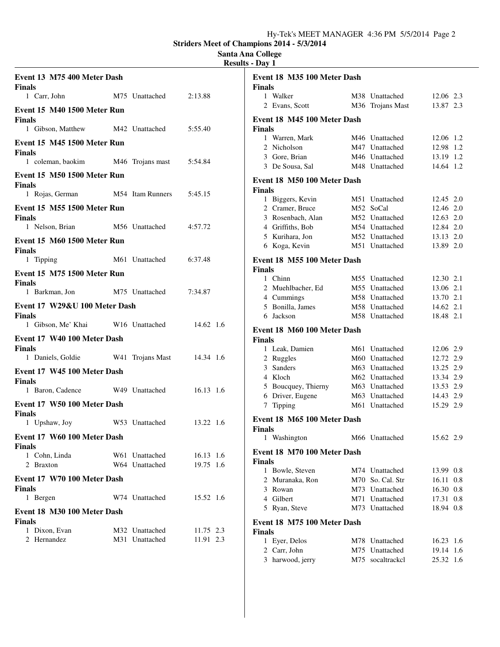# **Santa Ana College**

|                                              |                  |           | <b>Results - Day 1</b>                       |                                  |                        |
|----------------------------------------------|------------------|-----------|----------------------------------------------|----------------------------------|------------------------|
| Event 13 M75 400 Meter Dash<br><b>Finals</b> |                  |           | Event 18 M35 100 Meter Dash<br><b>Finals</b> |                                  |                        |
| 1 Carr, John                                 | M75 Unattached   | 2:13.88   | 1 Walker                                     | M38 Unattached                   | 12.06 2.3              |
| Event 15 M40 1500 Meter Run                  |                  |           | 2 Evans, Scott                               | M36 Trojans Mast                 | 13.87 2.3              |
| <b>Finals</b><br>1 Gibson, Matthew           | M42 Unattached   | 5:55.40   | Event 18 M45 100 Meter Dash                  |                                  |                        |
|                                              |                  |           | <b>Finals</b><br>1 Warren, Mark              | M46 Unattached                   | 12.06 1.2              |
| Event 15 M45 1500 Meter Run<br><b>Finals</b> |                  |           | 2 Nicholson<br>3 Gore, Brian                 | M47 Unattached<br>M46 Unattached | 12.98 1.2<br>13.19 1.2 |
| 1 coleman, baokim                            | M46 Trojans mast | 5:54.84   | 3 De Sousa, Sal                              | M48 Unattached                   | 14.64 1.2              |
| Event 15 M50 1500 Meter Run<br><b>Finals</b> |                  |           | Event 18 M50 100 Meter Dash                  |                                  |                        |
| 1 Rojas, German                              | M54 Itam Runners | 5:45.15   | <b>Finals</b>                                | M51 Unattached                   | 12.45 2.0              |
| <b>Event 15 M55 1500 Meter Run</b>           |                  |           | 1 Biggers, Kevin<br>2 Cramer, Bruce          | M52 SoCal                        | 12.46 2.0              |
| <b>Finals</b>                                |                  |           | 3 Rosenbach, Alan                            | M52 Unattached                   | 12.63 2.0              |
| 1 Nelson, Brian                              | M56 Unattached   | 4:57.72   | 4 Griffiths, Bob                             | M54 Unattached                   | 12.84 2.0              |
|                                              |                  |           | 5 Kurihara, Jon                              | M52 Unattached                   | 13.13 2.0              |
| <b>Event 15 M60 1500 Meter Run</b>           |                  |           | 6 Koga, Kevin                                | M51 Unattached                   | 13.89 2.0              |
| <b>Finals</b><br>1 Tipping                   | M61 Unattached   | 6:37.48   | Event 18 M55 100 Meter Dash                  |                                  |                        |
| <b>Event 15 M75 1500 Meter Run</b>           |                  |           | <b>Finals</b>                                |                                  |                        |
| <b>Finals</b>                                |                  |           | 1 Chinn                                      | M55 Unattached                   | 12.30 2.1              |
| 1 Barkman, Jon                               | M75 Unattached   | 7:34.87   | 2 Muehlbacher, Ed                            | M55 Unattached                   | 13.06 2.1              |
| Event 17 W29&U 100 Meter Dash                |                  |           | 4 Cummings                                   | M58 Unattached                   | 13.70 2.1              |
| <b>Finals</b>                                |                  |           | 5 Bonilla, James                             | M58 Unattached                   | 14.62 2.1              |
| 1 Gibson, Me' Khai                           | W16 Unattached   | 14.62 1.6 | 6 Jackson                                    | M58 Unattached                   | 18.48 2.1              |
|                                              |                  |           | Event 18 M60 100 Meter Dash                  |                                  |                        |
| Event 17 W40 100 Meter Dash                  |                  |           | <b>Finals</b>                                |                                  |                        |
| <b>Finals</b>                                |                  |           | 1 Leak, Damien                               | M61 Unattached                   | 12.06 2.9              |
| 1 Daniels, Goldie                            | W41 Trojans Mast | 14.34 1.6 | 2 Ruggles                                    | M60 Unattached                   | 12.72 2.9              |
| Event 17 W45 100 Meter Dash                  |                  |           | Sanders<br>3                                 | M63 Unattached                   | 13.25 2.9              |
| <b>Finals</b>                                |                  |           | 4 Kloch                                      | M62 Unattached                   | 13.34 2.9              |
| 1 Baron, Cadence                             | W49 Unattached   | 16.13 1.6 | 5 Boucquey, Thierny                          | M63 Unattached                   | 13.53 2.9              |
| Event 17 W50 100 Meter Dash                  |                  |           | 6 Driver, Eugene                             | M63 Unattached                   | 14.43 2.9<br>15.29 2.9 |
| <b>Finals</b>                                |                  |           | 7 Tipping                                    | M61 Unattached                   |                        |
| 1 Upshaw, Joy                                | W53 Unattached   | 13.22 1.6 | Event 18 M65 100 Meter Dash                  |                                  |                        |
|                                              |                  |           | Finals                                       |                                  |                        |
| Event 17 W60 100 Meter Dash<br><b>Finals</b> |                  |           | 1 Washington                                 | M66 Unattached                   | 15.62 2.9              |
| 1 Cohn, Linda                                | W61 Unattached   | 16.13 1.6 | Event 18 M70 100 Meter Dash                  |                                  |                        |
| 2 Braxton                                    | W64 Unattached   | 19.75 1.6 | <b>Finals</b>                                |                                  |                        |
|                                              |                  |           | 1 Bowle, Steven                              | M74 Unattached                   | 13.99 0.8              |
| Event 17 W70 100 Meter Dash<br><b>Finals</b> |                  |           | 2 Muranaka, Ron                              | M70 So. Cal. Str                 | 16.11 0.8              |
| 1 Bergen                                     | W74 Unattached   | 15.52 1.6 | 3 Rowan<br>4 Gilbert                         | M73 Unattached<br>M71 Unattached | 16.30 0.8              |
|                                              |                  |           |                                              | M73 Unattached                   | 17.31 0.8<br>18.94 0.8 |
| Event 18 M30 100 Meter Dash<br><b>Finals</b> |                  |           | 5 Ryan, Steve<br>Event 18 M75 100 Meter Dash |                                  |                        |
| 1 Dixon, Evan                                | M32 Unattached   | 11.75 2.3 | <b>Finals</b>                                |                                  |                        |
| 2 Hernandez                                  | M31 Unattached   | 11.91 2.3 | 1 Eyer, Delos                                | M78 Unattached                   | $16.23$ 1.6            |
|                                              |                  |           | 2 Carr, John                                 | M75 Unattached                   | 19.14 1.6              |
|                                              |                  |           | 3 harwood, jerry                             | M75 socaltrackcl                 | 25.32 1.6              |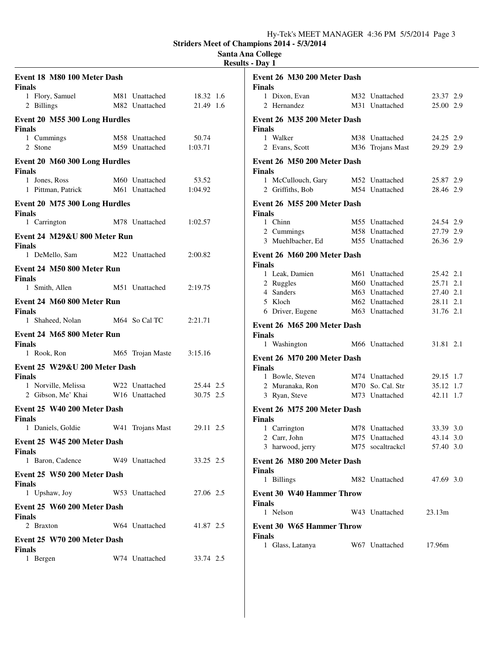**Striders Meet of Champions 2014 - 5/3/2014**

### **Santa Ana College Results - Day 1**

| Event 18 M80 100 Meter Dash<br><b>Finals</b>   |                                  |                        | Event 26 M30 200 Meter Dash<br><b>Finals</b>      |                                    |                        |
|------------------------------------------------|----------------------------------|------------------------|---------------------------------------------------|------------------------------------|------------------------|
| 1 Flory, Samuel<br>2 Billings                  | M81 Unattached<br>M82 Unattached | 18.32 1.6<br>21.49 1.6 | 1 Dixon, Evan<br>2 Hernandez                      | M32 Unattached<br>M31 Unattached   | 23.37 2.9<br>25.00 2.9 |
| Event 20 M55 300 Long Hurdles<br><b>Finals</b> |                                  |                        | Event 26 M35 200 Meter Dash<br><b>Finals</b>      |                                    |                        |
| 1 Cummings<br>2 Stone                          | M58 Unattached<br>M59 Unattached | 50.74<br>1:03.71       | 1 Walker<br>2 Evans, Scott                        | M38 Unattached<br>M36 Trojans Mast | 24.25 2.9<br>29.29 2.9 |
| Event 20 M60 300 Long Hurdles<br><b>Finals</b> |                                  |                        | Event 26 M50 200 Meter Dash<br><b>Finals</b>      |                                    |                        |
| 1 Jones, Ross<br>1 Pittman, Patrick            | M60 Unattached<br>M61 Unattached | 53.52<br>1:04.92       | 1 McCullouch, Gary<br>2 Griffiths, Bob            | M52 Unattached<br>M54 Unattached   | 25.87 2.9<br>28.46 2.9 |
| Event 20 M75 300 Long Hurdles<br><b>Finals</b> |                                  |                        | Event 26 M55 200 Meter Dash<br><b>Finals</b>      |                                    |                        |
| 1 Carrington                                   | M78 Unattached                   | 1:02.57                | 1 Chinn                                           | M55 Unattached                     | 24.54 2.9              |
| Event 24 M29&U 800 Meter Run<br><b>Finals</b>  |                                  |                        | 2 Cummings<br>3 Muehlbacher, Ed                   | M58 Unattached<br>M55 Unattached   | 27.79 2.9<br>26.36 2.9 |
| 1 DeMello, Sam                                 | M22 Unattached                   | 2:00.82                | Event 26 M60 200 Meter Dash<br><b>Finals</b>      |                                    |                        |
| Event 24 M50 800 Meter Run<br><b>Finals</b>    |                                  |                        | 1 Leak, Damien                                    | M61 Unattached                     | 25.42 2.1              |
| 1 Smith, Allen                                 | M51 Unattached                   | 2:19.75                | 2 Ruggles<br>4 Sanders                            | M60 Unattached<br>M63 Unattached   | 25.71 2.1<br>27.40 2.1 |
| Event 24 M60 800 Meter Run<br><b>Finals</b>    |                                  |                        | 5 Kloch<br>6 Driver, Eugene                       | M62 Unattached<br>M63 Unattached   | 28.11 2.1<br>31.76 2.1 |
| 1 Shaheed, Nolan                               | M64 So Cal TC                    | 2:21.71                | Event 26 M65 200 Meter Dash                       |                                    |                        |
| Event 24 M65 800 Meter Run<br><b>Finals</b>    |                                  |                        | <b>Finals</b><br>1 Washington                     | M66 Unattached                     | 31.81 2.1              |
| 1 Rook, Ron                                    | M65 Trojan Maste                 | 3:15.16                | Event 26 M70 200 Meter Dash                       |                                    |                        |
| Event 25 W29&U 200 Meter Dash                  |                                  |                        | <b>Finals</b>                                     |                                    |                        |
| <b>Finals</b>                                  |                                  |                        | 1 Bowle, Steven                                   | M74 Unattached                     | 29.15 1.7              |
| 1 Norville, Melissa<br>2 Gibson, Me' Khai      | W22 Unattached<br>W16 Unattached | 25.44 2.5<br>30.75 2.5 | 2 Muranaka, Ron<br>3 Ryan, Steve                  | M70 So. Cal. Str<br>M73 Unattached | 35.12 1.7<br>42.11 1.7 |
| Event 25 W40 200 Meter Dash<br><b>Finals</b>   |                                  |                        | Event 26 M75 200 Meter Dash<br><b>Finals</b>      |                                    |                        |
| 1 Daniels, Goldie                              | W41 Trojans Mast                 | 29.11 2.5              | 1 Carrington                                      | M78 Unattached                     | 33.39 3.0              |
| Event 25 W45 200 Meter Dash                    |                                  |                        | 2 Carr, John                                      | M75 Unattached                     | 43.14 3.0              |
| <b>Finals</b>                                  |                                  |                        | 3 harwood, jerry                                  | M75 socaltrackcl                   | 57.40 3.0              |
| 1 Baron, Cadence                               | W49 Unattached                   | 33.25 2.5              | Event 26 M80 200 Meter Dash<br><b>Finals</b>      |                                    |                        |
| Event 25 W50 200 Meter Dash<br><b>Finals</b>   |                                  |                        | 1 Billings                                        | M82 Unattached                     | 47.69 3.0              |
| 1 Upshaw, Joy                                  | W53 Unattached                   | 27.06 2.5              | <b>Event 30 W40 Hammer Throw</b>                  |                                    |                        |
| Event 25 W60 200 Meter Dash<br><b>Finals</b>   |                                  |                        | <b>Finals</b><br>1 Nelson                         | W43 Unattached                     | 23.13m                 |
| 2 Braxton<br>Event 25 W70 200 Meter Dash       | W64 Unattached                   | 41.87 2.5              | <b>Event 30 W65 Hammer Throw</b><br><b>Finals</b> |                                    |                        |
| <b>Finals</b><br>1 Bergen                      | W74 Unattached                   | 33.74 2.5              | 1 Glass, Latanya                                  | W67 Unattached                     | 17.96m                 |
|                                                |                                  |                        |                                                   |                                    |                        |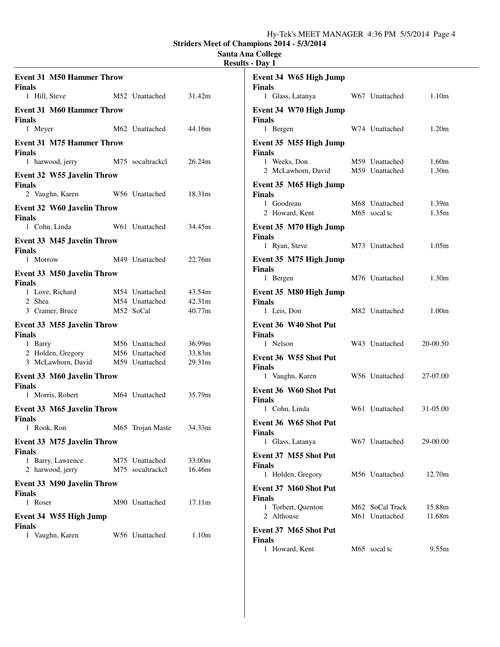## **Santa Ana College**

|                                                                       |                                               |                            | <b>Results - Day 1</b>                                      |                                   |                   |
|-----------------------------------------------------------------------|-----------------------------------------------|----------------------------|-------------------------------------------------------------|-----------------------------------|-------------------|
| <b>Event 31 M50 Hammer Throw</b><br><b>Finals</b><br>1 Hill, Steve    | M52 Unattached                                | 31.42m                     | Event 34 W65 High Jump<br><b>Finals</b><br>1 Glass, Latanya | W67 Unattached                    | 1.10 <sub>m</sub> |
| <b>Event 31 M60 Hammer Throw</b><br><b>Finals</b>                     |                                               |                            | Event 34 W70 High Jump<br><b>Finals</b>                     |                                   |                   |
| 1 Meyer                                                               | M62 Unattached                                | 44.16m                     | 1 Bergen                                                    | W74 Unattached                    | 1.20m             |
| <b>Event 31 M75 Hammer Throw</b><br><b>Finals</b><br>1 harwood, jerry | M75 socaltrackcl                              | 26.24m                     | Event 35 M55 High Jump<br><b>Finals</b><br>1 Weeks, Don     | M59 Unattached                    | 1.60m             |
| <b>Event 32 W55 Javelin Throw</b>                                     |                                               |                            | 2 McLawhorn, David                                          | M59 Unattached                    | 1.30 <sub>m</sub> |
| <b>Finals</b><br>2 Vaughn, Karen                                      | W56 Unattached                                | 18.31m                     | Event 35 M65 High Jump<br><b>Finals</b><br>1 Goodreau       | M68 Unattached                    | 1.39m             |
| <b>Event 32 W60 Javelin Throw</b><br><b>Finals</b>                    |                                               |                            | 2 Howard, Kent                                              | M65 socal tc                      | 1.35m             |
| 1 Cohn, Linda<br>Event 33 M45 Javelin Throw                           | W61 Unattached                                | 34.45m                     | Event 35 M70 High Jump<br><b>Finals</b>                     |                                   |                   |
| <b>Finals</b>                                                         |                                               |                            | 1 Ryan, Steve                                               | M73 Unattached                    | 1.05m             |
| 1 Morrow<br><b>Event 33 M50 Javelin Throw</b>                         | M49 Unattached                                | 22.76m                     | Event 35 M75 High Jump<br><b>Finals</b>                     |                                   |                   |
| <b>Finals</b>                                                         |                                               |                            | 1 Bergen                                                    | M76 Unattached                    | 1.30m             |
| 1 Love, Richard<br>2 Shea<br>3 Cramer, Bruce                          | M54 Unattached<br>M54 Unattached<br>M52 SoCal | 43.54m<br>42.31m<br>40.77m | Event 35 M80 High Jump<br><b>Finals</b><br>1 Leis, Don      | M82 Unattached                    | 1.00 <sub>m</sub> |
|                                                                       |                                               |                            |                                                             |                                   |                   |
| Event 33 M55 Javelin Throw<br><b>Finals</b>                           |                                               |                            | Event 36 W40 Shot Put<br><b>Finals</b>                      |                                   |                   |
| 1 Barry<br>2 Holden, Gregory                                          | M56 Unattached<br>M56 Unattached              | 36.99m<br>33.83m           | 1 Nelson                                                    | W43 Unattached                    | 20-00.50          |
| 3 McLawhorn, David                                                    | M59 Unattached                                | 29.31m                     | Event 36 W55 Shot Put<br><b>Finals</b>                      |                                   |                   |
| <b>Event 33 M60 Javelin Throw</b>                                     |                                               |                            | 1 Vaughn, Karen                                             | W56 Unattached                    | 27-07.00          |
| <b>Finals</b><br>1 Morris, Robert                                     | M64 Unattached                                | 35.79m                     | Event 36 W60 Shot Put<br><b>Finals</b>                      |                                   |                   |
| Event 33 M65 Javelin Throw                                            |                                               |                            | 1 Cohn, Linda                                               | W61 Unattached                    | 31-05.00          |
| <b>Finals</b><br>1 Rook, Ron                                          | M65 Trojan Maste                              | 34.33m                     | Event 36 W65 Shot Put<br><b>Finals</b>                      |                                   |                   |
| Event 33 M75 Javelin Throw                                            |                                               |                            | 1 Glass, Latanya                                            | W67 Unattached                    | 29-00.00          |
| <b>Finals</b><br>1 Barry, Lawrence<br>2 harwood, jerry                | M75 Unattached<br>M75 socaltrackel            | 33.00m<br>16.46m           | Event 37 M55 Shot Put<br><b>Finals</b>                      |                                   |                   |
|                                                                       |                                               |                            | 1 Holden, Gregory                                           | M56 Unattached                    | 12.70m            |
| <b>Event 33 M90 Javelin Throw</b><br><b>Finals</b><br>1 Roser         | M90 Unattached                                | 17.11m                     | Event 37 M60 Shot Put<br><b>Finals</b>                      |                                   |                   |
| Event 34 W55 High Jump                                                |                                               |                            | 1 Torbert, Quenton<br>2 Althouse                            | M62 SoCal Track<br>M61 Unattached | 15.88m<br>11.68m  |
| <b>Finals</b><br>1 Vaughn, Karen                                      | W56 Unattached                                | 1.10m                      | Event 37 M65 Shot Put<br><b>Finals</b><br>1 Howard, Kent    | M65 socal tc                      | 9.55m             |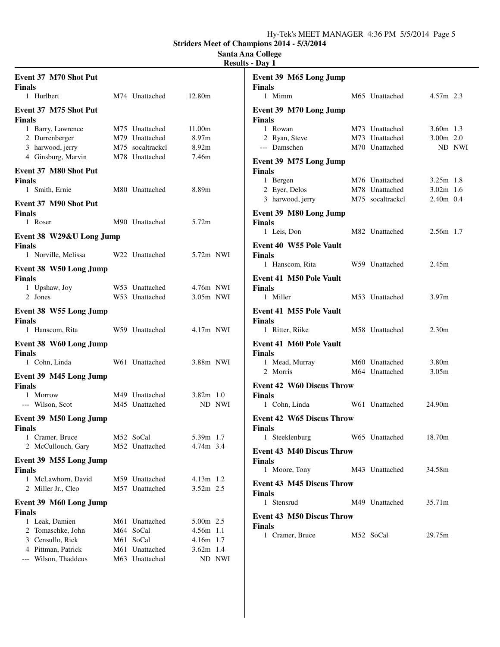### **Santa Ana College Results - Day 1**

| Event 37 M70 Shot Put<br><b>Finals</b>                      |                                  |             |        | Event 39 M65 Long Jump<br><b>Finals</b>            |                  |                   |        |
|-------------------------------------------------------------|----------------------------------|-------------|--------|----------------------------------------------------|------------------|-------------------|--------|
| 1 Hurlbert                                                  | M74 Unattached                   | 12.80m      |        | 1 Mimm                                             | M65 Unattached   | $4.57m$ 2.3       |        |
| Event 37 M75 Shot Put<br><b>Finals</b><br>1 Barry, Lawrence | M75 Unattached                   | 11.00m      |        | Event 39 M70 Long Jump<br><b>Finals</b><br>1 Rowan | M73 Unattached   | $3.60m$ 1.3       |        |
| 2 Durrenberger                                              | M79 Unattached                   | 8.97m       |        | 2 Ryan, Steve                                      | M73 Unattached   | $3.00m$ 2.0       |        |
| 3 harwood, jerry                                            | M75 socaltrackcl                 | 8.92m       |        | --- Damschen                                       | M70 Unattached   |                   | ND NWI |
| 4 Ginsburg, Marvin                                          | M78 Unattached                   | 7.46m       |        | Event 39 M75 Long Jump                             |                  |                   |        |
| Event 37 M80 Shot Put                                       |                                  |             |        | <b>Finals</b><br>1 Bergen                          | M76 Unattached   | $3.25m$ 1.8       |        |
| <b>Finals</b><br>1 Smith, Ernie                             | M80 Unattached                   | 8.89m       |        | 2 Eyer, Delos                                      | M78 Unattached   | $3.02m$ 1.6       |        |
|                                                             |                                  |             |        | 3 harwood, jerry                                   | M75 socaltrackcl | 2.40m 0.4         |        |
| Event 37 M90 Shot Put<br><b>Finals</b>                      |                                  |             |        | Event 39 M80 Long Jump                             |                  |                   |        |
| 1 Roser                                                     | M90 Unattached                   | 5.72m       |        | <b>Finals</b><br>1 Leis, Don                       | M82 Unattached   | $2.56m$ 1.7       |        |
| Event 38 W29&U Long Jump                                    |                                  |             |        | Event 40 W55 Pole Vault                            |                  |                   |        |
| <b>Finals</b><br>1 Norville, Melissa                        | W22 Unattached                   | 5.72m NWI   |        | <b>Finals</b>                                      |                  |                   |        |
| Event 38 W50 Long Jump                                      |                                  |             |        | 1 Hanscom, Rita                                    | W59 Unattached   | 2.45m             |        |
| <b>Finals</b>                                               | W53 Unattached                   | 4.76m NWI   |        | <b>Event 41 M50 Pole Vault</b><br><b>Finals</b>    |                  |                   |        |
| 1 Upshaw, Joy<br>2 Jones                                    | W53 Unattached                   | 3.05m NWI   |        | 1 Miller                                           | M53 Unattached   | 3.97 <sub>m</sub> |        |
| Event 38 W55 Long Jump<br><b>Finals</b>                     |                                  |             |        | Event 41 M55 Pole Vault<br><b>Finals</b>           |                  |                   |        |
| 1 Hanscom, Rita                                             | W59 Unattached                   | $4.17m$ NWI |        | 1 Ritter, Riike                                    | M58 Unattached   | 2.30 <sub>m</sub> |        |
| Event 38 W60 Long Jump<br><b>Finals</b>                     |                                  |             |        | Event 41 M60 Pole Vault<br><b>Finals</b>           |                  |                   |        |
| 1 Cohn, Linda                                               | W61 Unattached                   | 3.88m NWI   |        | 1 Mead, Murray                                     | M60 Unattached   | 3.80m             |        |
| Event 39 M45 Long Jump<br><b>Finals</b>                     |                                  |             |        | 2 Morris<br><b>Event 42 W60 Discus Throw</b>       | M64 Unattached   | 3.05m             |        |
| 1 Morrow                                                    | M49 Unattached                   | $3.82m$ 1.0 |        | <b>Finals</b>                                      |                  |                   |        |
| --- Wilson, Scot                                            | M45 Unattached                   |             | ND NWI | 1 Cohn, Linda                                      | W61 Unattached   | 24.90m            |        |
| Event 39 M50 Long Jump<br><b>Finals</b>                     |                                  |             |        | <b>Event 42 W65 Discus Throw</b><br><b>Finals</b>  |                  |                   |        |
| 1 Cramer, Bruce                                             | M52 SoCal                        | 5.39m 1.7   |        | 1 Steeklenburg                                     | W65 Unattached   | 18.70m            |        |
| 2 McCullouch, Gary                                          | M52 Unattached                   | 4.74m 3.4   |        | <b>Event 43 M40 Discus Throw</b>                   |                  |                   |        |
| Event 39 M55 Long Jump<br><b>Finals</b>                     |                                  |             |        | <b>Finals</b><br>1 Moore, Tony                     | M43 Unattached   | 34.58m            |        |
| 1 McLawhorn, David                                          | M59 Unattached                   | $4.13m$ 1.2 |        | <b>Event 43 M45 Discus Throw</b>                   |                  |                   |        |
| 2 Miller Jr., Cleo                                          | M57 Unattached                   | 3.52m 2.5   |        | <b>Finals</b>                                      |                  |                   |        |
| Event 39 M60 Long Jump<br><b>Finals</b>                     |                                  |             |        | 1 Stensrud                                         | M49 Unattached   | 35.71m            |        |
| 1 Leak, Damien                                              | M61 Unattached                   | 5.00m 2.5   |        | <b>Event 43 M50 Discus Throw</b>                   |                  |                   |        |
| 2 Tomaschke, John                                           | M64 SoCal                        | $4.56m$ 1.1 |        | <b>Finals</b><br>1 Cramer, Bruce                   | M52 SoCal        | 29.75m            |        |
| 3 Censullo, Rick                                            | M61 SoCal                        | $4.16m$ 1.7 |        |                                                    |                  |                   |        |
| 4 Pittman, Patrick<br>--- Wilson, Thaddeus                  | M61 Unattached<br>M63 Unattached | $3.62m$ 1.4 | ND NWI |                                                    |                  |                   |        |